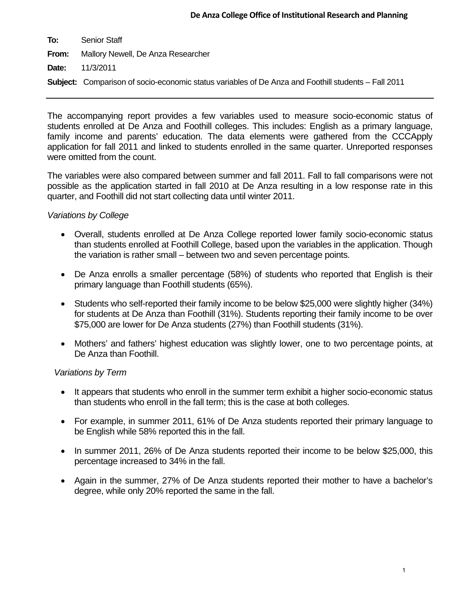| To:   | Senior Staff                                                                                               |
|-------|------------------------------------------------------------------------------------------------------------|
| From: | Mallory Newell, De Anza Researcher                                                                         |
|       | <b>Date:</b> 11/3/2011                                                                                     |
|       | <b>Subject:</b> Comparison of socio-economic status variables of De Anza and Foothill students – Fall 2011 |

The accompanying report provides a few variables used to measure socio-economic status of students enrolled at De Anza and Foothill colleges. This includes: English as a primary language, family income and parents' education. The data elements were gathered from the CCCApply application for fall 2011 and linked to students enrolled in the same quarter. Unreported responses were omitted from the count.

The variables were also compared between summer and fall 2011. Fall to fall comparisons were not possible as the application started in fall 2010 at De Anza resulting in a low response rate in this quarter, and Foothill did not start collecting data until winter 2011.

## *Variations by College*

- Overall, students enrolled at De Anza College reported lower family socio-economic status than students enrolled at Foothill College, based upon the variables in the application. Though the variation is rather small – between two and seven percentage points.
- De Anza enrolls a smaller percentage (58%) of students who reported that English is their primary language than Foothill students (65%).
- Students who self-reported their family income to be below \$25,000 were slightly higher (34%) for students at De Anza than Foothill (31%). Students reporting their family income to be over \$75,000 are lower for De Anza students (27%) than Foothill students (31%).
- Mothers' and fathers' highest education was slightly lower, one to two percentage points, at De Anza than Foothill.

## *Variations by Term*

- It appears that students who enroll in the summer term exhibit a higher socio-economic status than students who enroll in the fall term; this is the case at both colleges.
- For example, in summer 2011, 61% of De Anza students reported their primary language to be English while 58% reported this in the fall.
- In summer 2011, 26% of De Anza students reported their income to be below \$25,000, this percentage increased to 34% in the fall.
- Again in the summer, 27% of De Anza students reported their mother to have a bachelor's degree, while only 20% reported the same in the fall.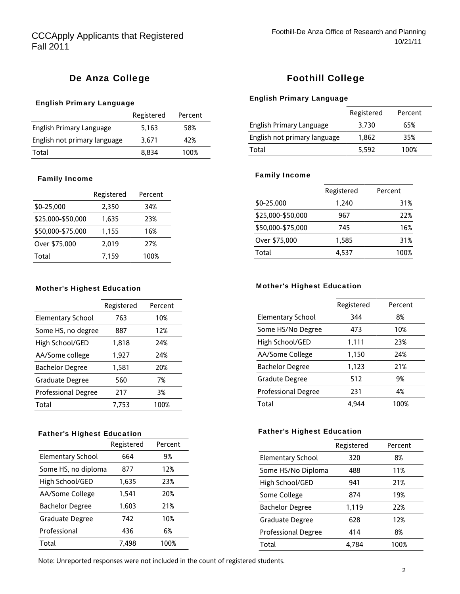# De Anza College

### English Primary Language

|                              | Registered | Percent |
|------------------------------|------------|---------|
| English Primary Language     | 5.163      | 58%     |
| English not primary language | 3.671      | 42%     |
| Total                        | 8.834      | 100%    |

### Family Income

|                   | Registered | Percent |
|-------------------|------------|---------|
| \$0-25,000        | 2,350      | 34%     |
| \$25,000-\$50,000 | 1,635      | 23%     |
| \$50,000-\$75,000 | 1,155      | 16%     |
| Over \$75,000     | 2,019      | 27%     |
| Total             | 7.159      | 100%    |

#### Mother's Highest Education

|                            | Registered | Percent |
|----------------------------|------------|---------|
| <b>Elementary School</b>   | 763        | 10%     |
| Some HS, no degree         | 887        | 12%     |
| High School/GED            | 1,818      | 24%     |
| AA/Some college            | 1,927      | 24%     |
| <b>Bachelor Degree</b>     | 1.581      | 20%     |
| Graduate Degree            | 560        | 7%      |
| <b>Professional Degree</b> | 217        | 3%      |
| Total                      | 7,753      | 100%    |
|                            |            |         |

### Father's Highest Education

|                          | Registered | Percent |
|--------------------------|------------|---------|
| <b>Elementary School</b> | 664        | 9%      |
| Some HS, no diploma      | 877        | 12%     |
| High School/GED          | 1,635      | 23%     |
| AA/Some College          | 1,541      | 20%     |
| <b>Bachelor Degree</b>   | 1,603      | 21%     |
| Graduate Degree          | 742        | 10%     |
| Professional             | 436        | 6%      |
| Total                    | 7.498      | 100%    |

## Foothill College

### English Primary Language

|                              | Registered | Percent |
|------------------------------|------------|---------|
| English Primary Language     | 3.730      | 65%     |
| English not primary language | 1.862      | 35%     |
| Total                        | 5.592      | 100%    |

### Family Income

|                   | Registered | Percent |
|-------------------|------------|---------|
| \$0-25.000        | 1.240      | 31%     |
| \$25,000-\$50,000 | 967        | 22%     |
| \$50,000-\$75,000 | 745        | 16%     |
| Over \$75,000     | 1.585      | 31%     |
| Total             | 4.537      | 100%    |
|                   |            |         |

### Mother's Highest Education

|                            | Registered | Percent |
|----------------------------|------------|---------|
| Elementary School          | 344        | 8%      |
| Some HS/No Degree          | 473        | 10%     |
| High School/GED            | 1,111      | 23%     |
| AA/Some College            | 1,150      | 24%     |
| <b>Bachelor Degree</b>     | 1,123      | 21%     |
| Gradute Degree             | 512        | 9%      |
| <b>Professional Degree</b> | 231        | 4%      |
| Total                      | 4.944      | 100%    |

### Father's Highest Education

|                            | Registered | Percent |
|----------------------------|------------|---------|
| <b>Elementary School</b>   | 320        | 8%      |
| Some HS/No Diploma         | 488        | 11%     |
| High School/GED            | 941        | 21%     |
| Some College               | 874        | 19%     |
| <b>Bachelor Degree</b>     | 1,119      | 22%     |
| Graduate Degree            | 628        | 12%     |
| <b>Professional Degree</b> | 414        | 8%      |
| Total                      | 4.784      | 100%    |

Note: Unreported responses were not included in the count of registered students.